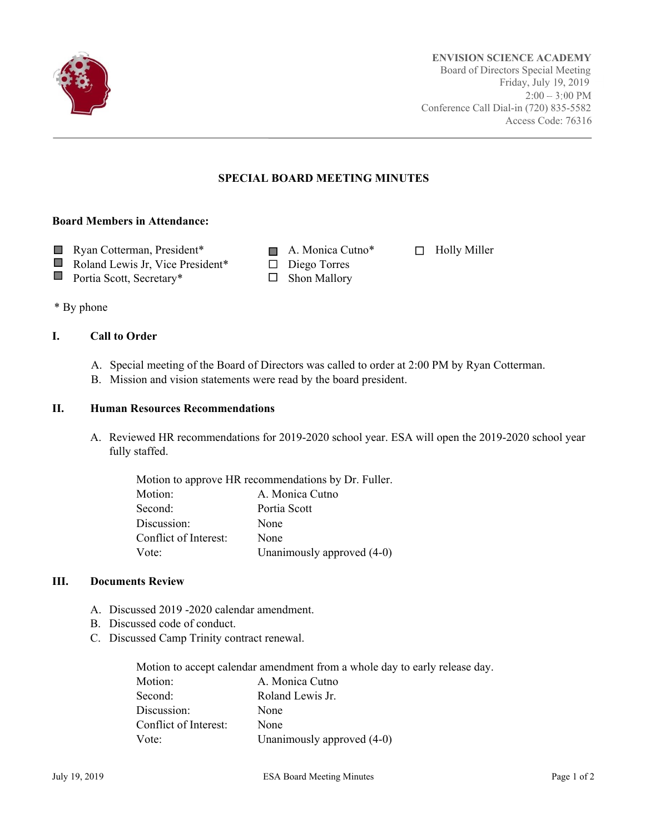

## **SPECIAL BOARD MEETING MINUTES**

#### **Board Members in Attendance:**

- Ryan Cotterman, President\* A. Monica Cutno\* □ Holly Miller
	-
	- Roland Lewis Jr, Vice President\*  $\Box$  Diego Torres
- Portia Scott, Secretary\*  $\Box$  Shon Mallory
- 

\* By phone

 $\Box$ 

### **I. Call to Order**

- A. Special meeting of the Board of Directors was called to order at 2:00 PM by Ryan Cotterman.
- B. Mission and vision statements were read by the board president.

#### **II. Human Resources Recommendations**

A. Reviewed HR recommendations for 2019-2020 school year. ESA will open the 2019-2020 school year fully staffed.

| Motion to approve HR recommendations by Dr. Fuller. |                            |  |
|-----------------------------------------------------|----------------------------|--|
| Motion:                                             | A. Monica Cutno            |  |
| Second:                                             | Portia Scott               |  |
| Discussion:                                         | None                       |  |
| Conflict of Interest:                               | None                       |  |
| Vote:                                               | Unanimously approved (4-0) |  |

#### **III. Documents Review**

- A. Discussed 2019 -2020 calendar amendment.
- B. Discussed code of conduct.
- C. Discussed Camp Trinity contract renewal.

Motion to accept calendar amendment from a whole day to early release day. Motion: **A. Monica Cutno** Second: Roland Lewis Jr. Discussion: None Conflict of Interest: None Vote: Unanimously approved  $(4-0)$